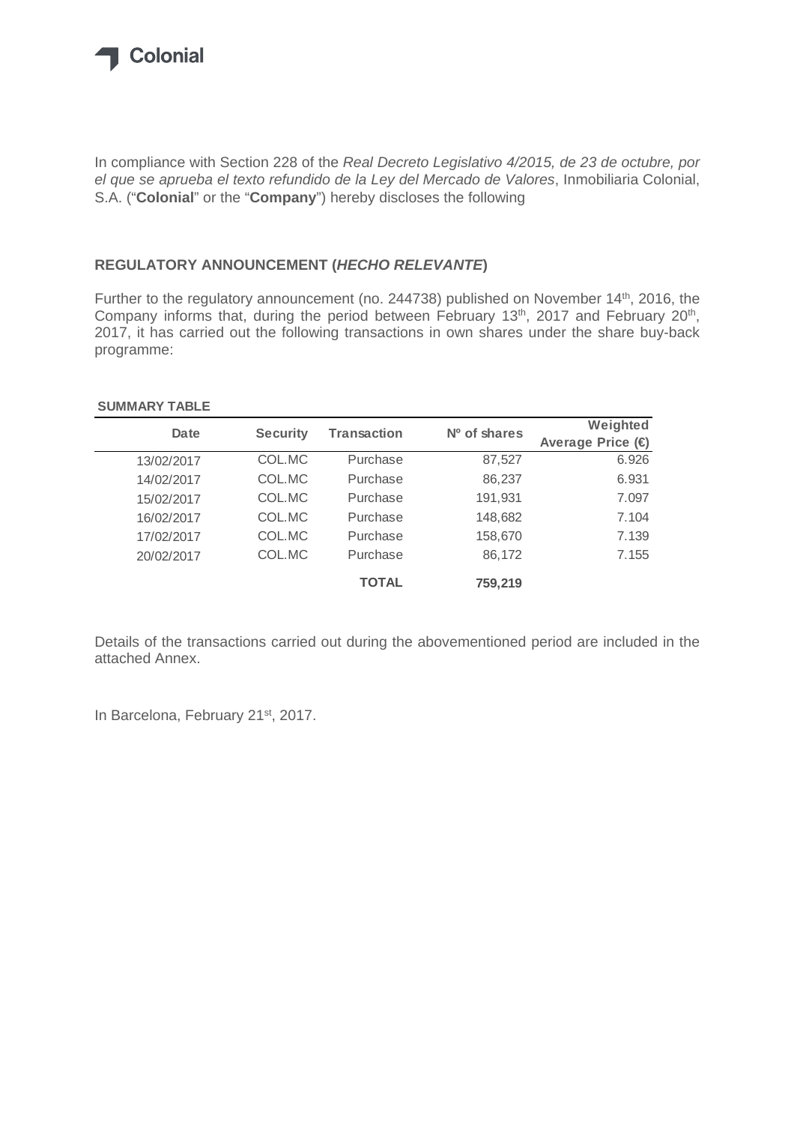

In compliance with Section 228 of the *Real Decreto Legislativo 4/2015, de 23 de octubre, por el que se aprueba el texto refundido de la Ley del Mercado de Valores*, Inmobiliaria Colonial, S.A. ("**Colonial**" or the "**Company**") hereby discloses the following

## **REGULATORY ANNOUNCEMENT (***HECHO RELEVANTE***)**

Further to the regulatory announcement (no. 244738) published on November 14<sup>th</sup>, 2016, the Company informs that, during the period between February 13<sup>th</sup>, 2017 and February 20<sup>th</sup>, 2017, it has carried out the following transactions in own shares under the share buy-back programme:

## **SUMMARY TABLE**

| Date       | <b>Security</b> | Transaction  | Nº of shares | Weighted<br>Average Price (€ |
|------------|-----------------|--------------|--------------|------------------------------|
|            |                 |              |              |                              |
| 13/02/2017 | COL.MC          | Purchase     | 87,527       | 6.926                        |
| 14/02/2017 | COL.MC          | Purchase     | 86,237       | 6.931                        |
| 15/02/2017 | COL.MC          | Purchase     | 191,931      | 7.097                        |
| 16/02/2017 | COL.MC          | Purchase     | 148,682      | 7.104                        |
| 17/02/2017 | COL.MC          | Purchase     | 158,670      | 7.139                        |
| 20/02/2017 | COL.MC          | Purchase     | 86,172       | 7.155                        |
|            |                 | <b>TOTAL</b> | 759,219      |                              |

Details of the transactions carried out during the abovementioned period are included in the attached Annex.

In Barcelona, February 21st, 2017.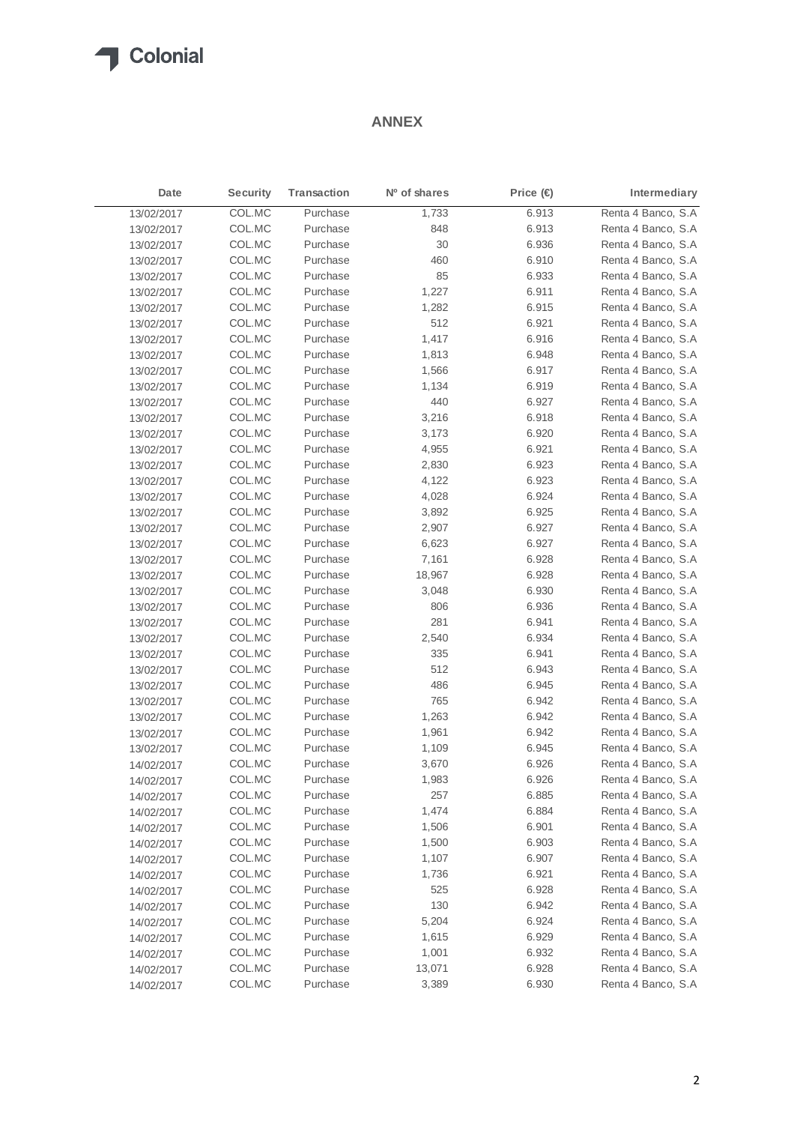## **T** Colonial

## **ANNEX**

| Date       | <b>Security</b> | <b>Transaction</b> | Nº of shares | Price $\bigoplus$ | Intermediary       |
|------------|-----------------|--------------------|--------------|-------------------|--------------------|
| 13/02/2017 | COL.MC          | Purchase           | 1,733        | 6.913             | Renta 4 Banco, S.A |
| 13/02/2017 | COL.MC          | Purchase           | 848          | 6.913             | Renta 4 Banco, S.A |
| 13/02/2017 | COL.MC          | Purchase           | 30           | 6.936             | Renta 4 Banco, S.A |
| 13/02/2017 | COL.MC          | Purchase           | 460          | 6.910             | Renta 4 Banco, S.A |
| 13/02/2017 | COL.MC          | Purchase           | 85           | 6.933             | Renta 4 Banco, S.A |
| 13/02/2017 | COL.MC          | Purchase           | 1,227        | 6.911             | Renta 4 Banco, S.A |
| 13/02/2017 | COL.MC          | Purchase           | 1,282        | 6.915             | Renta 4 Banco, S.A |
| 13/02/2017 | COL.MC          | Purchase           | 512          | 6.921             | Renta 4 Banco, S.A |
| 13/02/2017 | COL.MC          | Purchase           | 1,417        | 6.916             | Renta 4 Banco, S.A |
| 13/02/2017 | COL.MC          | Purchase           | 1,813        | 6.948             | Renta 4 Banco, S.A |
| 13/02/2017 | COL.MC          | Purchase           | 1,566        | 6.917             | Renta 4 Banco, S.A |
| 13/02/2017 | COL.MC          | Purchase           | 1,134        | 6.919             | Renta 4 Banco, S.A |
| 13/02/2017 | COL.MC          | Purchase           | 440          | 6.927             | Renta 4 Banco, S.A |
| 13/02/2017 | COL.MC          | Purchase           | 3,216        | 6.918             | Renta 4 Banco, S.A |
| 13/02/2017 | COL.MC          | Purchase           | 3,173        | 6.920             | Renta 4 Banco, S.A |
| 13/02/2017 | COL.MC          | Purchase           | 4,955        | 6.921             | Renta 4 Banco, S.A |
| 13/02/2017 | COL.MC          | Purchase           | 2,830        | 6.923             | Renta 4 Banco, S.A |
| 13/02/2017 | COL.MC          | Purchase           | 4,122        | 6.923             | Renta 4 Banco, S.A |
| 13/02/2017 | COL.MC          | Purchase           | 4,028        | 6.924             | Renta 4 Banco, S.A |
| 13/02/2017 | COL.MC          | Purchase           | 3,892        | 6.925             | Renta 4 Banco, S.A |
| 13/02/2017 | COL.MC          | Purchase           | 2,907        | 6.927             | Renta 4 Banco, S.A |
| 13/02/2017 | COL.MC          | Purchase           | 6,623        | 6.927             | Renta 4 Banco, S.A |
| 13/02/2017 | COL.MC          | Purchase           | 7,161        | 6.928             | Renta 4 Banco, S.A |
| 13/02/2017 | COL.MC          | Purchase           | 18,967       | 6.928             | Renta 4 Banco, S.A |
| 13/02/2017 | COL.MC          | Purchase           | 3,048        | 6.930             | Renta 4 Banco, S.A |
| 13/02/2017 | COL.MC          | Purchase           | 806          | 6.936             | Renta 4 Banco, S.A |
| 13/02/2017 | COL.MC          | Purchase           | 281          | 6.941             | Renta 4 Banco, S.A |
| 13/02/2017 | COL.MC          | Purchase           | 2,540        | 6.934             | Renta 4 Banco, S.A |
| 13/02/2017 | COL.MC          | Purchase           | 335          | 6.941             | Renta 4 Banco, S.A |
| 13/02/2017 | COL.MC          | Purchase           | 512          | 6.943             | Renta 4 Banco, S.A |
| 13/02/2017 | COL.MC          | Purchase           | 486          | 6.945             | Renta 4 Banco, S.A |
| 13/02/2017 | COL.MC          | Purchase           | 765          | 6.942             | Renta 4 Banco, S.A |
| 13/02/2017 | COL.MC          | Purchase           | 1,263        | 6.942             | Renta 4 Banco, S.A |
| 13/02/2017 | COL.MC          | Purchase           | 1,961        | 6.942             | Renta 4 Banco, S.A |
| 13/02/2017 | COL.MC          | Purchase           | 1,109        | 6.945             | Renta 4 Banco, S.A |
| 14/02/2017 | COL.MC          | Purchase           | 3,670        | 6.926             | Renta 4 Banco, S.A |
| 14/02/2017 | COL.MC          | Purchase           | 1,983        | 6.926             | Renta 4 Banco, S.A |
| 14/02/2017 | COL.MC          | Purchase           | 257          | 6.885             | Renta 4 Banco, S.A |
| 14/02/2017 | COL.MC          | Purchase           | 1,474        | 6.884             | Renta 4 Banco, S.A |
| 14/02/2017 | COL.MC          | Purchase           | 1,506        | 6.901             | Renta 4 Banco, S.A |
| 14/02/2017 | COL.MC          | Purchase           | 1,500        | 6.903             | Renta 4 Banco, S.A |
| 14/02/2017 | COL.MC          | Purchase           | 1,107        | 6.907             | Renta 4 Banco, S.A |
| 14/02/2017 | COL.MC          | Purchase           | 1,736        | 6.921             | Renta 4 Banco, S.A |
| 14/02/2017 | COL.MC          | Purchase           | 525          | 6.928             | Renta 4 Banco, S.A |
| 14/02/2017 | COL.MC          | Purchase           | 130          | 6.942             | Renta 4 Banco, S.A |
| 14/02/2017 | COL.MC          | Purchase           | 5,204        | 6.924             | Renta 4 Banco, S.A |
| 14/02/2017 | COL.MC          | Purchase           | 1,615        | 6.929             | Renta 4 Banco, S.A |
| 14/02/2017 | COL.MC          | Purchase           | 1,001        | 6.932             | Renta 4 Banco, S.A |
| 14/02/2017 | COL.MC          | Purchase           | 13,071       | 6.928             | Renta 4 Banco, S.A |
| 14/02/2017 | COL.MC          | Purchase           | 3,389        | 6.930             | Renta 4 Banco, S.A |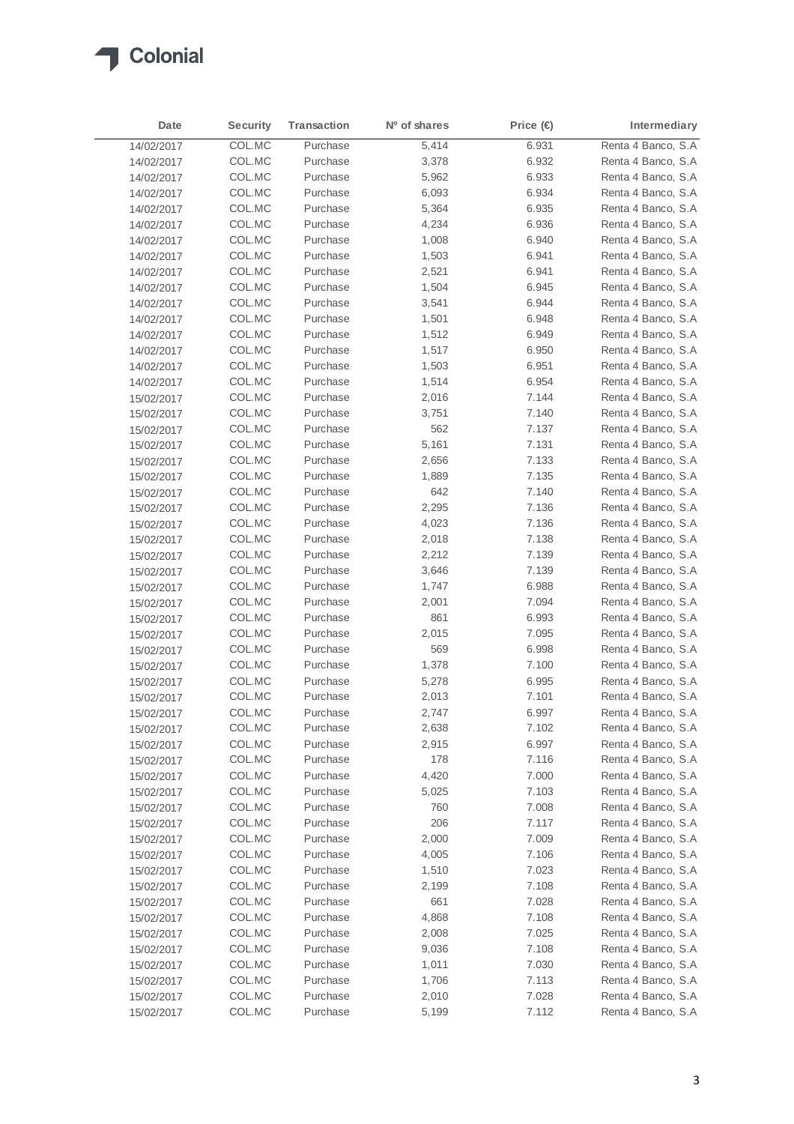

| Date       | <b>Security</b> | <b>Transaction</b> | Nº of shares | Price $\bigoplus$ | Intermediary        |
|------------|-----------------|--------------------|--------------|-------------------|---------------------|
| 14/02/2017 | COL.MC          | Purchase           | 5,414        | 6.931             | Renta 4 Banco, S.A  |
| 14/02/2017 | COL.MC          | Purchase           | 3,378        | 6.932             | Renta 4 Banco, S.A  |
| 14/02/2017 | COL.MC          | Purchase           | 5,962        | 6.933             | Renta 4 Banco, S.A  |
| 14/02/2017 | COL.MC          | Purchase           | 6,093        | 6.934             | Renta 4 Banco, S.A  |
| 14/02/2017 | COL.MC          | Purchase           | 5,364        | 6.935             | Renta 4 Banco, S.A. |
| 14/02/2017 | COL.MC          | Purchase           | 4,234        | 6.936             | Renta 4 Banco, S.A  |
| 14/02/2017 | COL.MC          | Purchase           | 1,008        | 6.940             | Renta 4 Banco, S.A  |
| 14/02/2017 | COL.MC          | Purchase           | 1,503        | 6.941             | Renta 4 Banco, S.A  |
| 14/02/2017 | COL.MC          | Purchase           | 2,521        | 6.941             | Renta 4 Banco, S.A  |
| 14/02/2017 | COL.MC          | Purchase           | 1,504        | 6.945             | Renta 4 Banco, S.A. |
| 14/02/2017 | COL.MC          | Purchase           | 3,541        | 6.944             | Renta 4 Banco, S.A  |
| 14/02/2017 | COL.MC          | Purchase           | 1,501        | 6.948             | Renta 4 Banco, S.A  |
| 14/02/2017 | COL.MC          | Purchase           | 1,512        | 6.949             | Renta 4 Banco, S.A  |
| 14/02/2017 | COL.MC          | Purchase           | 1,517        | 6.950             | Renta 4 Banco, S.A  |
| 14/02/2017 | COL.MC          | Purchase           | 1,503        | 6.951             | Renta 4 Banco, S.A  |
| 14/02/2017 | COL.MC          | Purchase           | 1,514        | 6.954             | Renta 4 Banco, S.A  |
| 15/02/2017 | COL.MC          | Purchase           | 2,016        | 7.144             | Renta 4 Banco, S.A  |
| 15/02/2017 | COL.MC          | Purchase           | 3,751        | 7.140             | Renta 4 Banco, S.A  |
| 15/02/2017 | COL.MC          | Purchase           | 562          | 7.137             | Renta 4 Banco, S.A  |
| 15/02/2017 | COL.MC          | Purchase           | 5,161        | 7.131             | Renta 4 Banco, S.A  |
| 15/02/2017 | COL.MC          | Purchase           | 2,656        | 7.133             | Renta 4 Banco, S.A  |
| 15/02/2017 | COL.MC          | Purchase           | 1,889        | 7.135             | Renta 4 Banco, S.A  |
| 15/02/2017 | COL.MC          | Purchase           | 642          | 7.140             | Renta 4 Banco, S.A  |
| 15/02/2017 | COL.MC          | Purchase           | 2,295        | 7.136             | Renta 4 Banco, S.A  |
| 15/02/2017 | COL.MC          | Purchase           | 4,023        | 7.136             | Renta 4 Banco, S.A  |
| 15/02/2017 | COL.MC          | Purchase           | 2,018        | 7.138             | Renta 4 Banco, S.A  |
| 15/02/2017 | COL.MC          | Purchase           | 2,212        | 7.139             | Renta 4 Banco, S.A  |
| 15/02/2017 | COL.MC          | Purchase           | 3,646        | 7.139             | Renta 4 Banco, S.A  |
| 15/02/2017 | COL.MC          | Purchase           | 1,747        | 6.988             | Renta 4 Banco, S.A  |
| 15/02/2017 | COL.MC          | Purchase           | 2,001        | 7.094             | Renta 4 Banco, S.A  |
| 15/02/2017 | COL.MC          | Purchase           | 861          | 6.993             | Renta 4 Banco, S.A  |
| 15/02/2017 | COL.MC          | Purchase           | 2,015        | 7.095             | Renta 4 Banco, S.A  |
| 15/02/2017 | COL.MC          | Purchase           | 569          | 6.998             | Renta 4 Banco, S.A  |
| 15/02/2017 | COL.MC          | Purchase           | 1,378        | 7.100             | Renta 4 Banco, S.A  |
| 15/02/2017 | COL.MC          | Purchase           | 5,278        | 6.995             | Renta 4 Banco, S.A  |
| 15/02/2017 | COL.MC          | Purchase           | 2,013        | 7.101             | Renta 4 Banco, S.A  |
| 15/02/2017 | COL.MC          | Purchase           | 2,747        | 6.997             | Renta 4 Banco, S.A  |
| 15/02/2017 | COL.MC          | Purchase           | 2,638        | 7.102             | Renta 4 Banco, S.A  |
| 15/02/2017 | COL.MC          | Purchase           | 2,915        | 6.997             | Renta 4 Banco, S.A  |
| 15/02/2017 | COL.MC          | Purchase           | 178          | 7.116             | Renta 4 Banco, S.A  |
| 15/02/2017 | COL.MC          | Purchase           | 4,420        | 7.000             | Renta 4 Banco, S.A  |
| 15/02/2017 | COL.MC          | Purchase           | 5,025        | 7.103             | Renta 4 Banco, S.A  |
| 15/02/2017 | COL.MC          | Purchase           | 760          | 7.008             | Renta 4 Banco, S.A  |
| 15/02/2017 | COL.MC          | Purchase           | 206          | 7.117             | Renta 4 Banco, S.A  |
| 15/02/2017 | COL.MC          | Purchase           | 2,000        | 7.009             | Renta 4 Banco, S.A  |
| 15/02/2017 | COL.MC          | Purchase           | 4,005        | 7.106             | Renta 4 Banco, S.A  |
| 15/02/2017 | COL.MC          | Purchase           | 1,510        | 7.023             | Renta 4 Banco, S.A  |
| 15/02/2017 | COL.MC          | Purchase           | 2,199        | 7.108             | Renta 4 Banco, S.A  |
| 15/02/2017 | COL.MC          | Purchase           | 661          | 7.028             | Renta 4 Banco, S.A  |
| 15/02/2017 | COL.MC          | Purchase           | 4,868        | 7.108             | Renta 4 Banco, S.A  |
| 15/02/2017 | COL.MC          | Purchase           | 2,008        | 7.025             | Renta 4 Banco, S.A  |
| 15/02/2017 | COL.MC          | Purchase           | 9,036        | 7.108             | Renta 4 Banco, S.A  |
| 15/02/2017 | COL.MC          | Purchase           | 1,011        | 7.030             | Renta 4 Banco, S.A  |
| 15/02/2017 | COL.MC          | Purchase           | 1,706        | 7.113             | Renta 4 Banco, S.A  |
| 15/02/2017 | COL.MC          | Purchase           | 2,010        | 7.028             | Renta 4 Banco, S.A  |
| 15/02/2017 | COL.MC          | Purchase           | 5,199        | 7.112             | Renta 4 Banco, S.A. |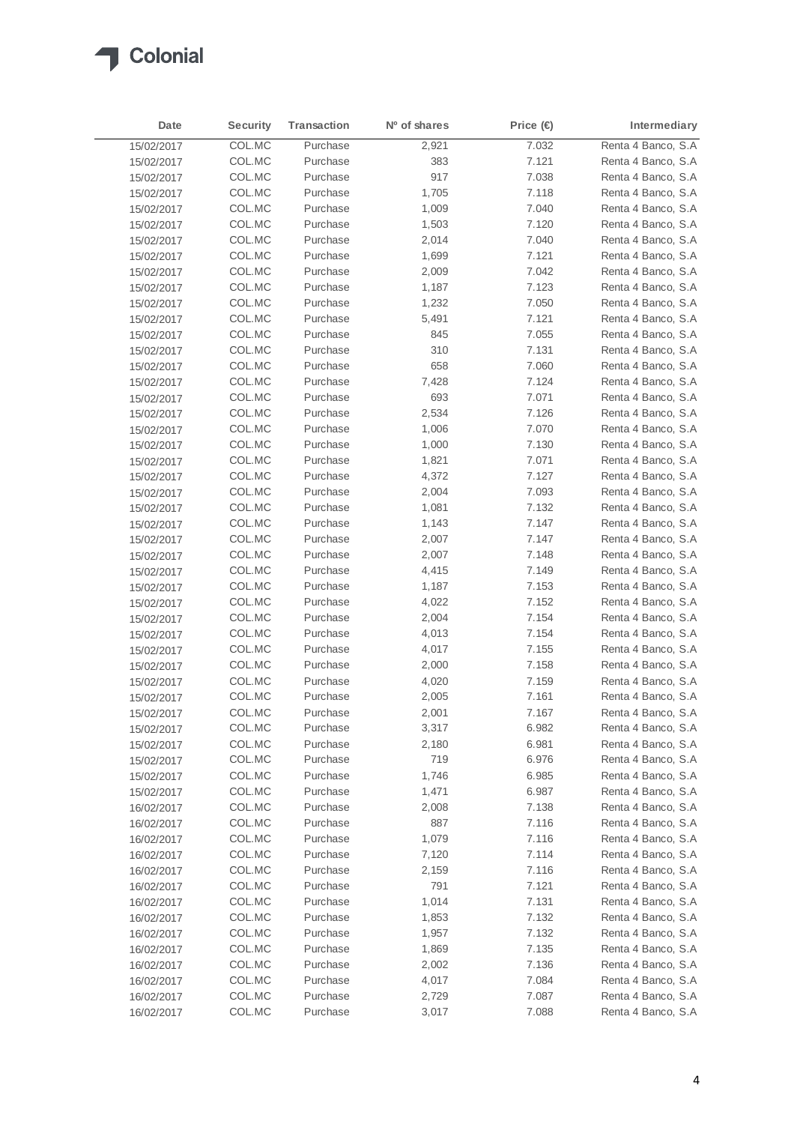

| Date       | <b>Security</b> | <b>Transaction</b> | N <sup>o</sup> of shares | Price $\bigoplus$ | Intermediary       |
|------------|-----------------|--------------------|--------------------------|-------------------|--------------------|
| 15/02/2017 | COL.MC          | Purchase           | 2,921                    | 7.032             | Renta 4 Banco, S.A |
| 15/02/2017 | COL.MC          | Purchase           | 383                      | 7.121             | Renta 4 Banco, S.A |
| 15/02/2017 | COL.MC          | Purchase           | 917                      | 7.038             | Renta 4 Banco, S.A |
| 15/02/2017 | COL.MC          | Purchase           | 1,705                    | 7.118             | Renta 4 Banco, S.A |
| 15/02/2017 | COL.MC          | Purchase           | 1,009                    | 7.040             | Renta 4 Banco, S.A |
| 15/02/2017 | COL.MC          | Purchase           | 1,503                    | 7.120             | Renta 4 Banco, S.A |
| 15/02/2017 | COL.MC          | Purchase           | 2,014                    | 7.040             | Renta 4 Banco, S.A |
| 15/02/2017 | COL.MC          | Purchase           | 1,699                    | 7.121             | Renta 4 Banco, S.A |
| 15/02/2017 | COL.MC          | Purchase           | 2,009                    | 7.042             | Renta 4 Banco, S.A |
| 15/02/2017 | COL.MC          | Purchase           | 1,187                    | 7.123             | Renta 4 Banco, S.A |
| 15/02/2017 | COL.MC          | Purchase           | 1,232                    | 7.050             | Renta 4 Banco, S.A |
| 15/02/2017 | COL.MC          | Purchase           | 5,491                    | 7.121             | Renta 4 Banco, S.A |
| 15/02/2017 | COL.MC          | Purchase           | 845                      | 7.055             | Renta 4 Banco, S.A |
| 15/02/2017 | COL.MC          | Purchase           | 310                      | 7.131             | Renta 4 Banco, S.A |
| 15/02/2017 | COL.MC          | Purchase           | 658                      | 7.060             | Renta 4 Banco, S.A |
| 15/02/2017 | COL.MC          | Purchase           | 7,428                    | 7.124             | Renta 4 Banco, S.A |
| 15/02/2017 | COL.MC          | Purchase           | 693                      | 7.071             | Renta 4 Banco, S.A |
| 15/02/2017 | COL.MC          | Purchase           | 2,534                    | 7.126             | Renta 4 Banco, S.A |
| 15/02/2017 | COL.MC          | Purchase           | 1,006                    | 7.070             | Renta 4 Banco, S.A |
| 15/02/2017 | COL.MC          | Purchase           | 1,000                    | 7.130             | Renta 4 Banco, S.A |
| 15/02/2017 | COL.MC          | Purchase           | 1,821                    | 7.071             | Renta 4 Banco, S.A |
| 15/02/2017 | COL.MC          | Purchase           | 4,372                    | 7.127             | Renta 4 Banco, S.A |
| 15/02/2017 | COL.MC          | Purchase           | 2,004                    | 7.093             | Renta 4 Banco, S.A |
| 15/02/2017 | COL.MC          | Purchase           | 1,081                    | 7.132             | Renta 4 Banco, S.A |
| 15/02/2017 | COL.MC          | Purchase           | 1,143                    | 7.147             | Renta 4 Banco, S.A |
| 15/02/2017 | COL.MC          | Purchase           | 2,007                    | 7.147             | Renta 4 Banco, S.A |
| 15/02/2017 | COL.MC          | Purchase           | 2,007                    | 7.148             | Renta 4 Banco, S.A |
| 15/02/2017 | COL.MC          | Purchase           | 4,415                    | 7.149             | Renta 4 Banco, S.A |
| 15/02/2017 | COL.MC          | Purchase           | 1,187                    | 7.153             | Renta 4 Banco, S.A |
| 15/02/2017 | COL.MC          | Purchase           | 4,022                    | 7.152             | Renta 4 Banco, S.A |
| 15/02/2017 | COL.MC          | Purchase           | 2,004                    | 7.154             | Renta 4 Banco, S.A |
| 15/02/2017 | COL.MC          | Purchase           | 4,013                    | 7.154             | Renta 4 Banco, S.A |
| 15/02/2017 | COL.MC          | Purchase           | 4,017                    | 7.155             | Renta 4 Banco, S.A |
| 15/02/2017 | COL.MC          | Purchase           | 2,000                    | 7.158             | Renta 4 Banco, S.A |
| 15/02/2017 | COL.MC          | Purchase           | 4,020                    | 7.159             | Renta 4 Banco, S.A |
| 15/02/2017 | COL.MC          | Purchase           | 2,005                    | 7.161             | Renta 4 Banco, S.A |
| 15/02/2017 | COL.MC          | Purchase           | 2,001                    | 7.167             | Renta 4 Banco, S.A |
| 15/02/2017 | COL.MC          | Purchase           | 3,317                    | 6.982             | Renta 4 Banco, S.A |
| 15/02/2017 | COL.MC          | Purchase           | 2,180                    | 6.981             | Renta 4 Banco, S.A |
| 15/02/2017 | COL.MC          | Purchase           | 719                      | 6.976             | Renta 4 Banco, S.A |
| 15/02/2017 | COL.MC          | Purchase           | 1,746                    | 6.985             | Renta 4 Banco, S.A |
| 15/02/2017 | COL.MC          | Purchase           | 1,471                    | 6.987             | Renta 4 Banco, S.A |
| 16/02/2017 | COL.MC          | Purchase           | 2,008                    | 7.138             | Renta 4 Banco, S.A |
| 16/02/2017 | COL.MC          | Purchase           | 887                      | 7.116             | Renta 4 Banco, S.A |
| 16/02/2017 | COL.MC          | Purchase           | 1,079                    | 7.116             | Renta 4 Banco, S.A |
| 16/02/2017 | COL.MC          | Purchase           | 7,120                    | 7.114             | Renta 4 Banco, S.A |
| 16/02/2017 | COL.MC          | Purchase           | 2,159                    | 7.116             | Renta 4 Banco, S.A |
| 16/02/2017 | COL.MC          | Purchase           | 791                      | 7.121             | Renta 4 Banco, S.A |
| 16/02/2017 | COL.MC          | Purchase           | 1,014                    | 7.131             | Renta 4 Banco, S.A |
| 16/02/2017 | COL.MC          | Purchase           | 1,853                    | 7.132             | Renta 4 Banco, S.A |
| 16/02/2017 | COL.MC          | Purchase           | 1,957                    | 7.132             | Renta 4 Banco, S.A |
| 16/02/2017 | COL.MC          | Purchase           | 1,869                    | 7.135             | Renta 4 Banco, S.A |
| 16/02/2017 | COL.MC          | Purchase           | 2,002                    | 7.136             | Renta 4 Banco, S.A |
| 16/02/2017 | COL.MC          | Purchase           | 4,017                    | 7.084             | Renta 4 Banco, S.A |
| 16/02/2017 | COL.MC          | Purchase           | 2,729                    | 7.087             | Renta 4 Banco, S.A |
| 16/02/2017 | COL.MC          | Purchase           | 3,017                    | 7.088             | Renta 4 Banco, S.A |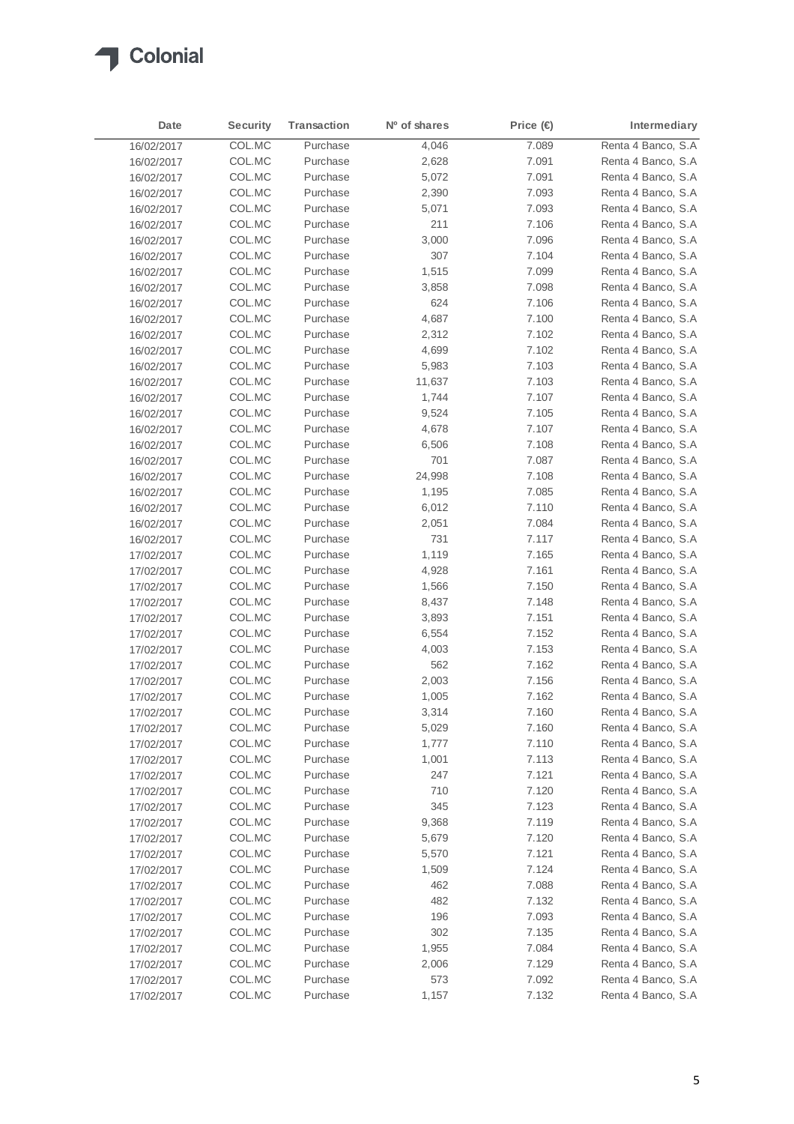

| Date       | <b>Security</b> | <b>Transaction</b> | N <sup>o</sup> of shares | Price $\bigoplus$ | Intermediary        |
|------------|-----------------|--------------------|--------------------------|-------------------|---------------------|
| 16/02/2017 | COL.MC          | Purchase           | 4,046                    | 7.089             | Renta 4 Banco, S.A  |
| 16/02/2017 | COL.MC          | Purchase           | 2,628                    | 7.091             | Renta 4 Banco, S.A. |
| 16/02/2017 | COL.MC          | Purchase           | 5,072                    | 7.091             | Renta 4 Banco, S.A  |
| 16/02/2017 | COL.MC          | Purchase           | 2,390                    | 7.093             | Renta 4 Banco, S.A  |
| 16/02/2017 | COL.MC          | Purchase           | 5,071                    | 7.093             | Renta 4 Banco, S.A  |
| 16/02/2017 | COL.MC          | Purchase           | 211                      | 7.106             | Renta 4 Banco, S.A  |
| 16/02/2017 | COL.MC          | Purchase           | 3,000                    | 7.096             | Renta 4 Banco, S.A  |
| 16/02/2017 | COL.MC          | Purchase           | 307                      | 7.104             | Renta 4 Banco, S.A  |
| 16/02/2017 | COL.MC          | Purchase           | 1,515                    | 7.099             | Renta 4 Banco, S.A  |
| 16/02/2017 | COL.MC          | Purchase           | 3,858                    | 7.098             | Renta 4 Banco, S.A  |
| 16/02/2017 | COL.MC          | Purchase           | 624                      | 7.106             | Renta 4 Banco, S.A  |
| 16/02/2017 | COL.MC          | Purchase           | 4,687                    | 7.100             | Renta 4 Banco, S.A  |
| 16/02/2017 | COL.MC          | Purchase           | 2,312                    | 7.102             | Renta 4 Banco, S.A  |
| 16/02/2017 | COL.MC          | Purchase           | 4,699                    | 7.102             | Renta 4 Banco, S.A  |
| 16/02/2017 | COL.MC          | Purchase           | 5,983                    | 7.103             | Renta 4 Banco, S.A. |
| 16/02/2017 | COL.MC          | Purchase           | 11,637                   | 7.103             | Renta 4 Banco, S.A  |
| 16/02/2017 | COL.MC          | Purchase           | 1,744                    | 7.107             | Renta 4 Banco, S.A  |
| 16/02/2017 | COL.MC          | Purchase           | 9,524                    | 7.105             | Renta 4 Banco, S.A  |
| 16/02/2017 | COL.MC          | Purchase           | 4,678                    | 7.107             | Renta 4 Banco, S.A  |
| 16/02/2017 | COL.MC          | Purchase           | 6,506                    | 7.108             | Renta 4 Banco, S.A  |
| 16/02/2017 | COL.MC          | Purchase           | 701                      | 7.087             | Renta 4 Banco, S.A  |
| 16/02/2017 | COL.MC          | Purchase           | 24,998                   | 7.108             | Renta 4 Banco, S.A. |
| 16/02/2017 | COL.MC          | Purchase           | 1,195                    | 7.085             | Renta 4 Banco, S.A  |
| 16/02/2017 | COL.MC          | Purchase           | 6,012                    | 7.110             | Renta 4 Banco, S.A. |
| 16/02/2017 | COL.MC          | Purchase           | 2,051                    | 7.084             | Renta 4 Banco, S.A  |
| 16/02/2017 | COL.MC          | Purchase           | 731                      | 7.117             | Renta 4 Banco, S.A  |
| 17/02/2017 | COL.MC          | Purchase           | 1,119                    | 7.165             | Renta 4 Banco, S.A  |
| 17/02/2017 | COL.MC          | Purchase           | 4,928                    | 7.161             | Renta 4 Banco, S.A  |
| 17/02/2017 | COL.MC          | Purchase           | 1,566                    | 7.150             | Renta 4 Banco, S.A  |
| 17/02/2017 | COL.MC          | Purchase           | 8,437                    | 7.148             | Renta 4 Banco, S.A  |
| 17/02/2017 | COL.MC          | Purchase           | 3,893                    | 7.151             | Renta 4 Banco, S.A  |
| 17/02/2017 | COL.MC          | Purchase           | 6,554                    | 7.152             | Renta 4 Banco, S.A  |
| 17/02/2017 | COL.MC          | Purchase           | 4,003                    | 7.153             | Renta 4 Banco, S.A  |
| 17/02/2017 | COL.MC          | Purchase           | 562                      | 7.162             | Renta 4 Banco, S.A  |
| 17/02/2017 | COL.MC          | Purchase           | 2,003                    | 7.156             | Renta 4 Banco, S.A  |
| 17/02/2017 | COL.MC          | Purchase           | 1,005                    | 7.162             | Renta 4 Banco, S.A  |
| 17/02/2017 | COL.MC          | Purchase           | 3,314                    | 7.160             | Renta 4 Banco, S.A  |
| 17/02/2017 | COL.MC          | Purchase           | 5,029                    | 7.160             | Renta 4 Banco, S.A  |
| 17/02/2017 | COL.MC          | Purchase           | 1,777                    | 7.110             | Renta 4 Banco, S.A  |
| 17/02/2017 | COL.MC          | Purchase           | 1,001                    | 7.113             | Renta 4 Banco, S.A  |
| 17/02/2017 | COL.MC          | Purchase           | 247                      | 7.121             | Renta 4 Banco, S.A  |
| 17/02/2017 | COL.MC          | Purchase           | 710                      | 7.120             | Renta 4 Banco, S.A  |
| 17/02/2017 | COL.MC          | Purchase           | 345                      | 7.123             | Renta 4 Banco, S.A  |
| 17/02/2017 | COL.MC          | Purchase           | 9,368                    | 7.119             | Renta 4 Banco, S.A  |
| 17/02/2017 | COL.MC          | Purchase           | 5,679                    | 7.120             | Renta 4 Banco, S.A  |
| 17/02/2017 | COL.MC          | Purchase           | 5,570                    | 7.121             | Renta 4 Banco, S.A  |
| 17/02/2017 | COL.MC          | Purchase           | 1,509                    | 7.124             | Renta 4 Banco, S.A  |
| 17/02/2017 | COL.MC          | Purchase           | 462                      | 7.088             | Renta 4 Banco, S.A  |
| 17/02/2017 | COL.MC          | Purchase           | 482                      | 7.132             | Renta 4 Banco, S.A  |
| 17/02/2017 | COL.MC          | Purchase           | 196                      | 7.093             | Renta 4 Banco, S.A  |
| 17/02/2017 | COL.MC          | Purchase           | 302                      | 7.135             | Renta 4 Banco, S.A  |
| 17/02/2017 | COL.MC          | Purchase           | 1,955                    | 7.084             | Renta 4 Banco, S.A  |
| 17/02/2017 | COL.MC          | Purchase           | 2,006                    | 7.129             | Renta 4 Banco, S.A  |
| 17/02/2017 | COL.MC          | Purchase           | 573                      | 7.092             | Renta 4 Banco, S.A  |
| 17/02/2017 | COL.MC          | Purchase           | 1,157                    | 7.132             | Renta 4 Banco, S.A  |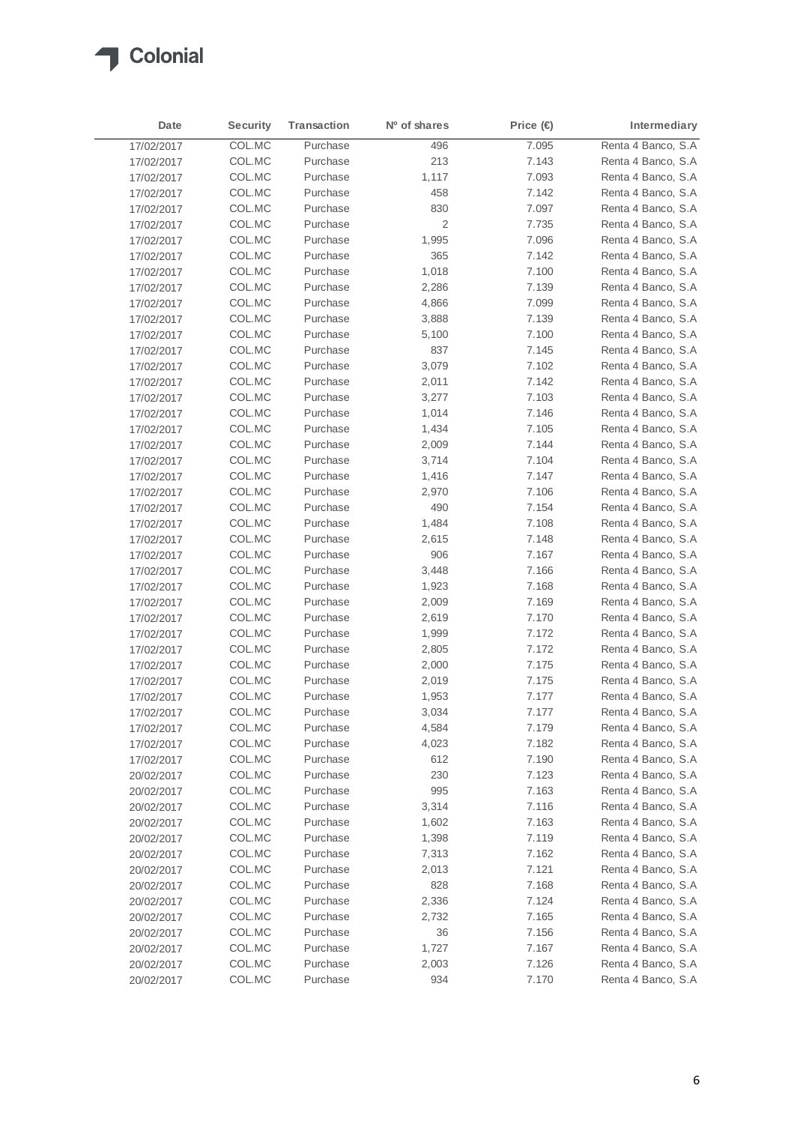

| Date       | <b>Security</b> | Transaction | Nº of shares | Price (€ | Intermediary        |
|------------|-----------------|-------------|--------------|----------|---------------------|
| 17/02/2017 | COL.MC          | Purchase    | 496          | 7.095    | Renta 4 Banco, S.A  |
| 17/02/2017 | COL.MC          | Purchase    | 213          | 7.143    | Renta 4 Banco, S.A. |
| 17/02/2017 | COL.MC          | Purchase    | 1,117        | 7.093    | Renta 4 Banco, S.A  |
| 17/02/2017 | COL.MC          | Purchase    | 458          | 7.142    | Renta 4 Banco, S.A  |
| 17/02/2017 | COL.MC          | Purchase    | 830          | 7.097    | Renta 4 Banco, S.A  |
| 17/02/2017 | COL.MC          | Purchase    | 2            | 7.735    | Renta 4 Banco, S.A  |
| 17/02/2017 | COL.MC          | Purchase    | 1,995        | 7.096    | Renta 4 Banco, S.A  |
| 17/02/2017 | COL.MC          | Purchase    | 365          | 7.142    | Renta 4 Banco, S.A. |
| 17/02/2017 | COL.MC          | Purchase    | 1,018        | 7.100    | Renta 4 Banco, S.A  |
| 17/02/2017 | COL.MC          | Purchase    | 2,286        | 7.139    | Renta 4 Banco, S.A  |
| 17/02/2017 | COL.MC          | Purchase    | 4,866        | 7.099    | Renta 4 Banco, S.A  |
| 17/02/2017 | COL.MC          | Purchase    | 3,888        | 7.139    | Renta 4 Banco, S.A  |
| 17/02/2017 | COL.MC          | Purchase    | 5,100        | 7.100    | Renta 4 Banco, S.A  |
| 17/02/2017 | COL.MC          | Purchase    | 837          | 7.145    | Renta 4 Banco, S.A  |
| 17/02/2017 | COL.MC          | Purchase    | 3,079        | 7.102    | Renta 4 Banco, S.A  |
| 17/02/2017 | COL.MC          | Purchase    | 2,011        | 7.142    | Renta 4 Banco, S.A  |
| 17/02/2017 | COL.MC          | Purchase    | 3,277        | 7.103    | Renta 4 Banco, S.A  |
| 17/02/2017 | COL.MC          | Purchase    | 1,014        | 7.146    | Renta 4 Banco, S.A  |
| 17/02/2017 | COL.MC          | Purchase    | 1,434        | 7.105    | Renta 4 Banco, S.A  |
| 17/02/2017 | COL.MC          | Purchase    | 2,009        | 7.144    | Renta 4 Banco, S.A  |
| 17/02/2017 | COL.MC          | Purchase    | 3,714        | 7.104    | Renta 4 Banco, S.A  |
| 17/02/2017 | COL.MC          | Purchase    | 1,416        | 7.147    | Renta 4 Banco, S.A. |
| 17/02/2017 | COL.MC          | Purchase    | 2,970        | 7.106    | Renta 4 Banco, S.A  |
| 17/02/2017 | COL.MC          | Purchase    | 490          | 7.154    | Renta 4 Banco, S.A  |
| 17/02/2017 | COL.MC          | Purchase    | 1,484        | 7.108    | Renta 4 Banco, S.A  |
| 17/02/2017 | COL.MC          | Purchase    | 2,615        | 7.148    | Renta 4 Banco, S.A  |
| 17/02/2017 | COL.MC          | Purchase    | 906          | 7.167    | Renta 4 Banco, S.A  |
| 17/02/2017 | COL.MC          | Purchase    | 3,448        | 7.166    | Renta 4 Banco, S.A  |
| 17/02/2017 | COL.MC          | Purchase    | 1,923        | 7.168    | Renta 4 Banco, S.A  |
| 17/02/2017 | COL.MC          | Purchase    | 2,009        | 7.169    | Renta 4 Banco, S.A  |
| 17/02/2017 | COL.MC          | Purchase    | 2,619        | 7.170    | Renta 4 Banco, S.A  |
| 17/02/2017 | COL.MC          | Purchase    | 1,999        | 7.172    | Renta 4 Banco, S.A  |
| 17/02/2017 | COL.MC          | Purchase    | 2,805        | 7.172    | Renta 4 Banco, S.A  |
| 17/02/2017 | COL.MC          | Purchase    | 2,000        | 7.175    | Renta 4 Banco, S.A  |
| 17/02/2017 | COL.MC          | Purchase    | 2,019        | 7.175    | Renta 4 Banco, S.A  |
| 17/02/2017 | COL.MC          | Purchase    | 1,953        | 7.177    | Renta 4 Banco, S.A. |
| 17/02/2017 | COL.MC          | Purchase    | 3,034        | 7.177    | Renta 4 Banco, S.A  |
| 17/02/2017 | COL.MC          | Purchase    | 4,584        | 7.179    | Renta 4 Banco, S.A  |
| 17/02/2017 | COL.MC          | Purchase    | 4,023        | 7.182    | Renta 4 Banco, S.A  |
| 17/02/2017 | COL.MC          | Purchase    | 612          | 7.190    | Renta 4 Banco, S.A  |
| 20/02/2017 | COL.MC          | Purchase    | 230          | 7.123    | Renta 4 Banco, S.A  |
| 20/02/2017 | COL.MC          | Purchase    | 995          | 7.163    | Renta 4 Banco, S.A  |
| 20/02/2017 | COL.MC          | Purchase    | 3,314        | 7.116    | Renta 4 Banco, S.A  |
| 20/02/2017 | COL.MC          | Purchase    | 1,602        | 7.163    | Renta 4 Banco, S.A  |
| 20/02/2017 | COL.MC          | Purchase    | 1,398        | 7.119    | Renta 4 Banco, S.A  |
| 20/02/2017 | COL.MC          | Purchase    | 7,313        | 7.162    | Renta 4 Banco, S.A  |
| 20/02/2017 | COL.MC          | Purchase    | 2,013        | 7.121    | Renta 4 Banco, S.A  |
| 20/02/2017 | COL.MC          | Purchase    | 828          | 7.168    | Renta 4 Banco, S.A  |
| 20/02/2017 | COL.MC          | Purchase    | 2,336        | 7.124    | Renta 4 Banco, S.A  |
| 20/02/2017 | COL.MC          | Purchase    | 2,732        | 7.165    | Renta 4 Banco, S.A  |
| 20/02/2017 | COL.MC          | Purchase    | 36           | 7.156    | Renta 4 Banco, S.A  |
| 20/02/2017 | COL.MC          | Purchase    | 1,727        | 7.167    | Renta 4 Banco, S.A  |
| 20/02/2017 | COL.MC          | Purchase    | 2,003        | 7.126    | Renta 4 Banco, S.A  |
| 20/02/2017 | COL.MC          | Purchase    | 934          | 7.170    | Renta 4 Banco, S.A  |